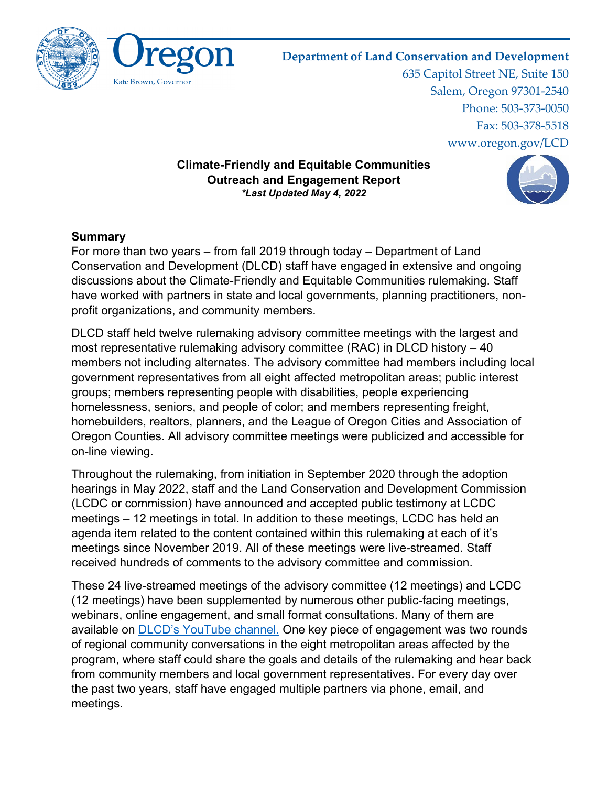

### **Department of Land Conservation and Development**

635 Capitol Street NE, Suite 150 Salem, Oregon 97301-2540 Phone: 503-373-0050 Fax: 503-378-5518 www.oregon.gov/LCD

#### **Climate-Friendly and Equitable Communities Outreach and Engagement Report** *\*Last Updated May 4, 2022*



### **Summary**

For more than two years – from fall 2019 through today – Department of Land Conservation and Development (DLCD) staff have engaged in extensive and ongoing discussions about the Climate-Friendly and Equitable Communities rulemaking. Staff have worked with partners in state and local governments, planning practitioners, nonprofit organizations, and community members.

DLCD staff held twelve rulemaking advisory committee meetings with the largest and most representative rulemaking advisory committee (RAC) in DLCD history – 40 members not including alternates. The advisory committee had members including local government representatives from all eight affected metropolitan areas; public interest groups; members representing people with disabilities, people experiencing homelessness, seniors, and people of color; and members representing freight, homebuilders, realtors, planners, and the League of Oregon Cities and Association of Oregon Counties. All advisory committee meetings were publicized and accessible for on-line viewing.

Throughout the rulemaking, from initiation in September 2020 through the adoption hearings in May 2022, staff and the Land Conservation and Development Commission (LCDC or commission) have announced and accepted public testimony at LCDC meetings – 12 meetings in total. In addition to these meetings, LCDC has held an agenda item related to the content contained within this rulemaking at each of it's meetings since November 2019. All of these meetings were live-streamed. Staff received hundreds of comments to the advisory committee and commission.

These 24 live-streamed meetings of the advisory committee (12 meetings) and LCDC (12 meetings) have been supplemented by numerous other public-facing meetings, webinars, online engagement, and small format consultations. Many of them are available on [DLCD's YouTube channel.](https://www.youtube.com/user/OregonDLCD) One key piece of engagement was two rounds of regional community conversations in the eight metropolitan areas affected by the program, where staff could share the goals and details of the rulemaking and hear back from community members and local government representatives. For every day over the past two years, staff have engaged multiple partners via phone, email, and meetings.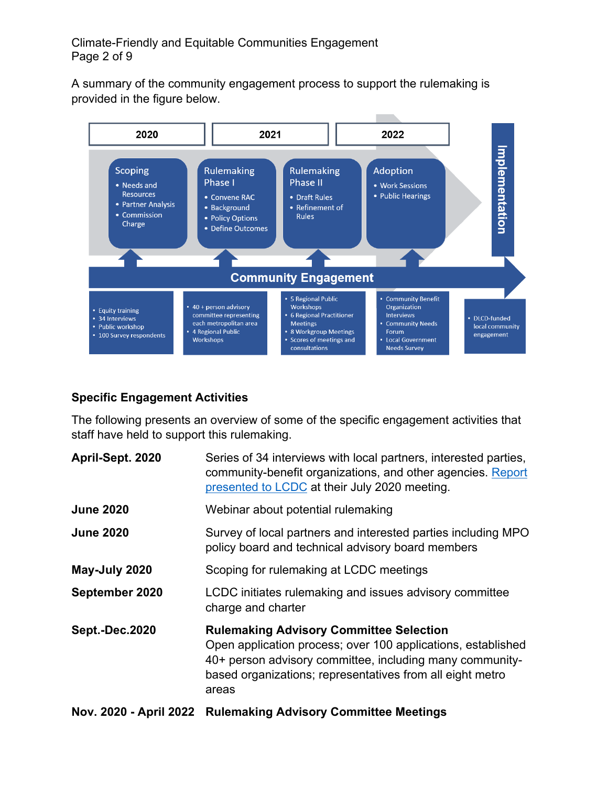A summary of the community engagement process to support the rulemaking is provided in the figure below.



## **Specific Engagement Activities**

The following presents an overview of some of the specific engagement activities that staff have held to support this rulemaking.

| April-Sept. 2020       | Series of 34 interviews with local partners, interested parties,<br>community-benefit organizations, and other agencies. Report<br>presented to LCDC at their July 2020 meeting.                                                                 |
|------------------------|--------------------------------------------------------------------------------------------------------------------------------------------------------------------------------------------------------------------------------------------------|
| <b>June 2020</b>       | Webinar about potential rulemaking                                                                                                                                                                                                               |
| <b>June 2020</b>       | Survey of local partners and interested parties including MPO<br>policy board and technical advisory board members                                                                                                                               |
| May-July 2020          | Scoping for rulemaking at LCDC meetings                                                                                                                                                                                                          |
| September 2020         | LCDC initiates rulemaking and issues advisory committee<br>charge and charter                                                                                                                                                                    |
| <b>Sept.-Dec.2020</b>  | <b>Rulemaking Advisory Committee Selection</b><br>Open application process; over 100 applications, established<br>40+ person advisory committee, including many community-<br>based organizations; representatives from all eight metro<br>areas |
| Nov. 2020 - April 2022 | <b>Rulemaking Advisory Committee Meetings</b>                                                                                                                                                                                                    |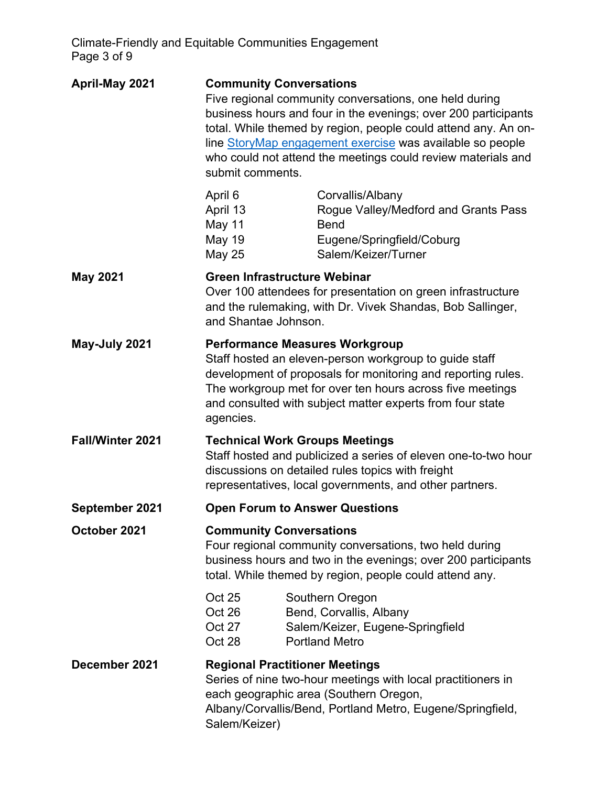Climate-Friendly and Equitable Communities Engagement Page 3 of 9

| April-May 2021          | <b>Community Conversations</b><br>submit comments.          | Five regional community conversations, one held during<br>business hours and four in the evenings; over 200 participants<br>total. While themed by region, people could attend any. An on-<br>line StoryMap engagement exercise was available so people<br>who could not attend the meetings could review materials and |
|-------------------------|-------------------------------------------------------------|-------------------------------------------------------------------------------------------------------------------------------------------------------------------------------------------------------------------------------------------------------------------------------------------------------------------------|
|                         | April 6<br>April 13<br>May 11<br>May 19<br><b>May 25</b>    | Corvallis/Albany<br>Rogue Valley/Medford and Grants Pass<br><b>Bend</b><br>Eugene/Springfield/Coburg<br>Salem/Keizer/Turner                                                                                                                                                                                             |
| <b>May 2021</b>         | <b>Green Infrastructure Webinar</b><br>and Shantae Johnson. | Over 100 attendees for presentation on green infrastructure<br>and the rulemaking, with Dr. Vivek Shandas, Bob Sallinger,                                                                                                                                                                                               |
| May-July 2021           | agencies.                                                   | <b>Performance Measures Workgroup</b><br>Staff hosted an eleven-person workgroup to guide staff<br>development of proposals for monitoring and reporting rules.<br>The workgroup met for over ten hours across five meetings<br>and consulted with subject matter experts from four state                               |
| <b>Fall/Winter 2021</b> |                                                             | <b>Technical Work Groups Meetings</b><br>Staff hosted and publicized a series of eleven one-to-two hour<br>discussions on detailed rules topics with freight<br>representatives, local governments, and other partners.                                                                                                 |
| September 2021          |                                                             | <b>Open Forum to Answer Questions</b>                                                                                                                                                                                                                                                                                   |
| October 2021            | <b>Community Conversations</b>                              | Four regional community conversations, two held during<br>business hours and two in the evenings; over 200 participants<br>total. While themed by region, people could attend any.                                                                                                                                      |
|                         | Oct 25<br>Oct 26<br>Oct 27<br>Oct 28                        | Southern Oregon<br>Bend, Corvallis, Albany<br>Salem/Keizer, Eugene-Springfield<br><b>Portland Metro</b>                                                                                                                                                                                                                 |
| December 2021           | <b>Regional Practitioner Meetings</b><br>Salem/Keizer)      | Series of nine two-hour meetings with local practitioners in<br>each geographic area (Southern Oregon,<br>Albany/Corvallis/Bend, Portland Metro, Eugene/Springfield,                                                                                                                                                    |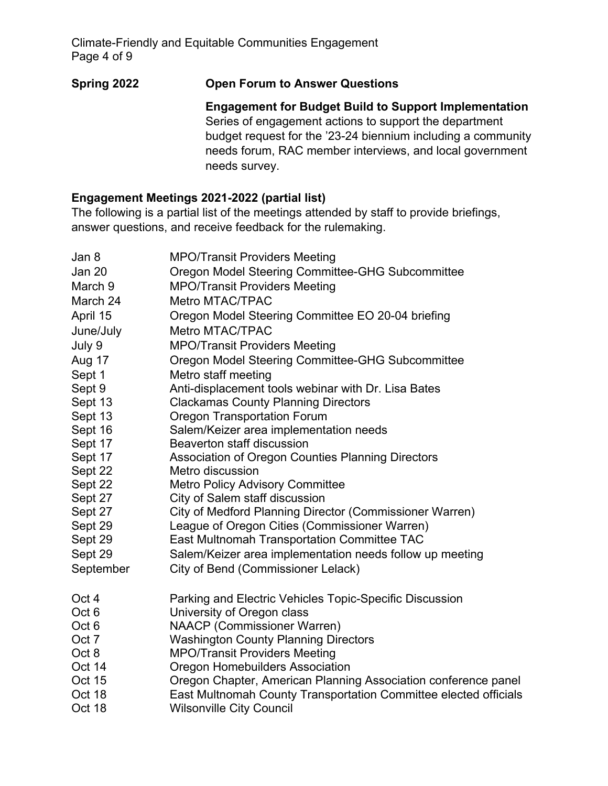## **Spring 2022 Open Forum to Answer Questions**

**Engagement for Budget Build to Support Implementation** Series of engagement actions to support the department budget request for the '23-24 biennium including a community needs forum, RAC member interviews, and local government needs survey.

## **Engagement Meetings 2021-2022 (partial list)**

The following is a partial list of the meetings attended by staff to provide briefings, answer questions, and receive feedback for the rulemaking.

| Jan 8            | <b>MPO/Transit Providers Meeting</b>                             |
|------------------|------------------------------------------------------------------|
| Jan 20           | Oregon Model Steering Committee-GHG Subcommittee                 |
| March 9          | <b>MPO/Transit Providers Meeting</b>                             |
| March 24         | Metro MTAC/TPAC                                                  |
| April 15         | Oregon Model Steering Committee EO 20-04 briefing                |
| June/July        | Metro MTAC/TPAC                                                  |
| July 9           | <b>MPO/Transit Providers Meeting</b>                             |
| Aug 17           | Oregon Model Steering Committee-GHG Subcommittee                 |
| Sept 1           | Metro staff meeting                                              |
| Sept 9           | Anti-displacement tools webinar with Dr. Lisa Bates              |
| Sept 13          | <b>Clackamas County Planning Directors</b>                       |
| Sept 13          | <b>Oregon Transportation Forum</b>                               |
| Sept 16          | Salem/Keizer area implementation needs                           |
| Sept 17          | Beaverton staff discussion                                       |
| Sept 17          | Association of Oregon Counties Planning Directors                |
| Sept 22          | Metro discussion                                                 |
| Sept 22          | <b>Metro Policy Advisory Committee</b>                           |
| Sept 27          | City of Salem staff discussion                                   |
| Sept 27          | City of Medford Planning Director (Commissioner Warren)          |
| Sept 29          | League of Oregon Cities (Commissioner Warren)                    |
| Sept 29          | East Multnomah Transportation Committee TAC                      |
| Sept 29          | Salem/Keizer area implementation needs follow up meeting         |
| September        | City of Bend (Commissioner Lelack)                               |
| Oct 4            | Parking and Electric Vehicles Topic-Specific Discussion          |
| Oct <sub>6</sub> | University of Oregon class                                       |
| Oct <sub>6</sub> | <b>NAACP (Commissioner Warren)</b>                               |
| Oct 7            | <b>Washington County Planning Directors</b>                      |
| Oct 8            | <b>MPO/Transit Providers Meeting</b>                             |
| Oct 14           | <b>Oregon Homebuilders Association</b>                           |
| <b>Oct 15</b>    | Oregon Chapter, American Planning Association conference panel   |
| Oct 18           | East Multnomah County Transportation Committee elected officials |
| Oct 18           | <b>Wilsonville City Council</b>                                  |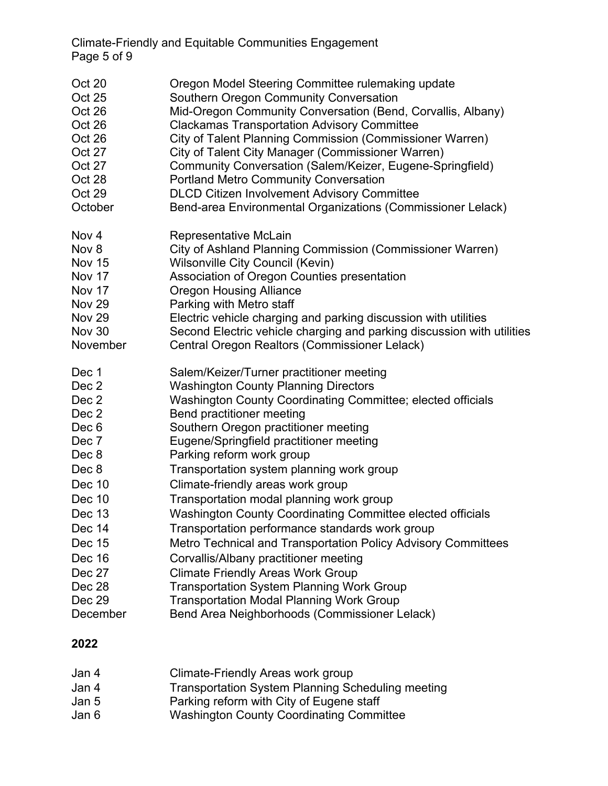Climate-Friendly and Equitable Communities Engagement Page 5 of 9

| Oct 20<br>Oct 25<br>Oct 26<br>Oct 26<br>Oct 26<br>Oct 27<br>Oct 27<br>Oct 28<br>Oct 29<br>October | Oregon Model Steering Committee rulemaking update<br>Southern Oregon Community Conversation<br>Mid-Oregon Community Conversation (Bend, Corvallis, Albany)<br><b>Clackamas Transportation Advisory Committee</b><br>City of Talent Planning Commission (Commissioner Warren)<br>City of Talent City Manager (Commissioner Warren)<br>Community Conversation (Salem/Keizer, Eugene-Springfield)<br><b>Portland Metro Community Conversation</b><br><b>DLCD Citizen Involvement Advisory Committee</b><br>Bend-area Environmental Organizations (Commissioner Lelack) |
|---------------------------------------------------------------------------------------------------|---------------------------------------------------------------------------------------------------------------------------------------------------------------------------------------------------------------------------------------------------------------------------------------------------------------------------------------------------------------------------------------------------------------------------------------------------------------------------------------------------------------------------------------------------------------------|
| Nov <sub>4</sub>                                                                                  | Representative McLain                                                                                                                                                                                                                                                                                                                                                                                                                                                                                                                                               |
| Nov 8                                                                                             | City of Ashland Planning Commission (Commissioner Warren)                                                                                                                                                                                                                                                                                                                                                                                                                                                                                                           |
| <b>Nov 15</b>                                                                                     | Wilsonville City Council (Kevin)                                                                                                                                                                                                                                                                                                                                                                                                                                                                                                                                    |
| Nov 17                                                                                            | Association of Oregon Counties presentation                                                                                                                                                                                                                                                                                                                                                                                                                                                                                                                         |
| Nov 17                                                                                            | <b>Oregon Housing Alliance</b>                                                                                                                                                                                                                                                                                                                                                                                                                                                                                                                                      |
| <b>Nov 29</b><br><b>Nov 29</b>                                                                    | Parking with Metro staff                                                                                                                                                                                                                                                                                                                                                                                                                                                                                                                                            |
| <b>Nov 30</b>                                                                                     | Electric vehicle charging and parking discussion with utilities<br>Second Electric vehicle charging and parking discussion with utilities                                                                                                                                                                                                                                                                                                                                                                                                                           |
| November                                                                                          | Central Oregon Realtors (Commissioner Lelack)                                                                                                                                                                                                                                                                                                                                                                                                                                                                                                                       |
| Dec 1                                                                                             | Salem/Keizer/Turner practitioner meeting                                                                                                                                                                                                                                                                                                                                                                                                                                                                                                                            |
| Dec 2                                                                                             | <b>Washington County Planning Directors</b>                                                                                                                                                                                                                                                                                                                                                                                                                                                                                                                         |
| Dec 2                                                                                             | Washington County Coordinating Committee; elected officials                                                                                                                                                                                                                                                                                                                                                                                                                                                                                                         |
| Dec 2                                                                                             | Bend practitioner meeting                                                                                                                                                                                                                                                                                                                                                                                                                                                                                                                                           |
| Dec 6                                                                                             | Southern Oregon practitioner meeting                                                                                                                                                                                                                                                                                                                                                                                                                                                                                                                                |
| Dec 7                                                                                             | Eugene/Springfield practitioner meeting                                                                                                                                                                                                                                                                                                                                                                                                                                                                                                                             |
| Dec 8                                                                                             | Parking reform work group                                                                                                                                                                                                                                                                                                                                                                                                                                                                                                                                           |
| Dec 8                                                                                             | Transportation system planning work group                                                                                                                                                                                                                                                                                                                                                                                                                                                                                                                           |
| Dec 10                                                                                            | Climate-friendly areas work group                                                                                                                                                                                                                                                                                                                                                                                                                                                                                                                                   |
| Dec 10                                                                                            | Transportation modal planning work group                                                                                                                                                                                                                                                                                                                                                                                                                                                                                                                            |
| Dec 13                                                                                            | Washington County Coordinating Committee elected officials                                                                                                                                                                                                                                                                                                                                                                                                                                                                                                          |
| Dec 14                                                                                            | Transportation performance standards work group                                                                                                                                                                                                                                                                                                                                                                                                                                                                                                                     |
| Dec 15                                                                                            | Metro Technical and Transportation Policy Advisory Committees                                                                                                                                                                                                                                                                                                                                                                                                                                                                                                       |
| Dec 16                                                                                            | Corvallis/Albany practitioner meeting                                                                                                                                                                                                                                                                                                                                                                                                                                                                                                                               |
| Dec 27                                                                                            | <b>Climate Friendly Areas Work Group</b>                                                                                                                                                                                                                                                                                                                                                                                                                                                                                                                            |
| Dec 28                                                                                            | <b>Transportation System Planning Work Group</b>                                                                                                                                                                                                                                                                                                                                                                                                                                                                                                                    |
| Dec 29                                                                                            | <b>Transportation Modal Planning Work Group</b>                                                                                                                                                                                                                                                                                                                                                                                                                                                                                                                     |
| December                                                                                          | Bend Area Neighborhoods (Commissioner Lelack)                                                                                                                                                                                                                                                                                                                                                                                                                                                                                                                       |

# **2022**

| Jan 4 | Climate-Friendly Areas work group                        |
|-------|----------------------------------------------------------|
| Jan 4 | <b>Transportation System Planning Scheduling meeting</b> |
| Jan 5 | Parking reform with City of Eugene staff                 |
| Jan 6 | <b>Washington County Coordinating Committee</b>          |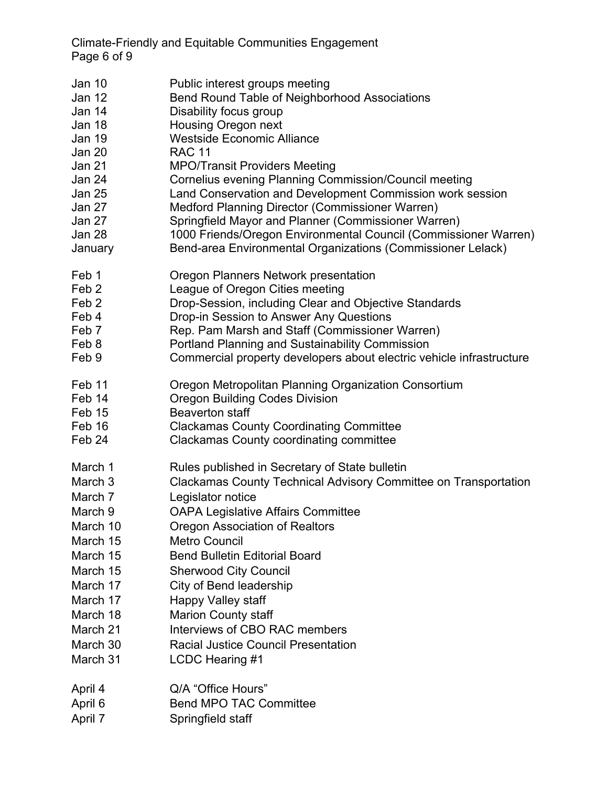Climate-Friendly and Equitable Communities Engagement Page 6 of 9

| <b>Jan 10</b>    | Public interest groups meeting                                       |
|------------------|----------------------------------------------------------------------|
| Jan 12           | Bend Round Table of Neighborhood Associations                        |
| Jan 14           | Disability focus group                                               |
| Jan 18           | Housing Oregon next                                                  |
| <b>Jan 19</b>    | <b>Westside Economic Alliance</b>                                    |
| Jan 20           | <b>RAC 11</b>                                                        |
| Jan 21           | <b>MPO/Transit Providers Meeting</b>                                 |
| Jan 24           | Cornelius evening Planning Commission/Council meeting                |
| <b>Jan 25</b>    | Land Conservation and Development Commission work session            |
| Jan 27           | Medford Planning Director (Commissioner Warren)                      |
| Jan 27           | Springfield Mayor and Planner (Commissioner Warren)                  |
| Jan 28           | 1000 Friends/Oregon Environmental Council (Commissioner Warren)      |
| January          | Bend-area Environmental Organizations (Commissioner Lelack)          |
| Feb 1            | Oregon Planners Network presentation                                 |
| Feb <sub>2</sub> | League of Oregon Cities meeting                                      |
| Feb <sub>2</sub> | Drop-Session, including Clear and Objective Standards                |
| Feb 4            | Drop-in Session to Answer Any Questions                              |
| Feb <sub>7</sub> | Rep. Pam Marsh and Staff (Commissioner Warren)                       |
| Feb 8            | Portland Planning and Sustainability Commission                      |
| Feb 9            | Commercial property developers about electric vehicle infrastructure |
| Feb 11           | Oregon Metropolitan Planning Organization Consortium                 |
| Feb 14           | <b>Oregon Building Codes Division</b>                                |
| Feb 15           | <b>Beaverton staff</b>                                               |
| Feb 16           | <b>Clackamas County Coordinating Committee</b>                       |
| Feb 24           | <b>Clackamas County coordinating committee</b>                       |
| March 1          | Rules published in Secretary of State bulletin                       |
| March 3          | Clackamas County Technical Advisory Committee on Transportation      |
| March 7          | Legislator notice                                                    |
| March 9          | <b>OAPA Legislative Affairs Committee</b>                            |
| March 10         | Oregon Association of Realtors                                       |
| March 15         | <b>Metro Council</b>                                                 |
| March 15         | <b>Bend Bulletin Editorial Board</b>                                 |
| March 15         | <b>Sherwood City Council</b>                                         |
| March 17         | City of Bend leadership                                              |
| March 17         | <b>Happy Valley staff</b>                                            |
| March 18         | <b>Marion County staff</b>                                           |
| March 21         | Interviews of CBO RAC members                                        |
| March 30         | <b>Racial Justice Council Presentation</b>                           |
| March 31         | LCDC Hearing #1                                                      |
| April 4          | Q/A "Office Hours"                                                   |
| April 6          | <b>Bend MPO TAC Committee</b>                                        |
| April 7          | Springfield staff                                                    |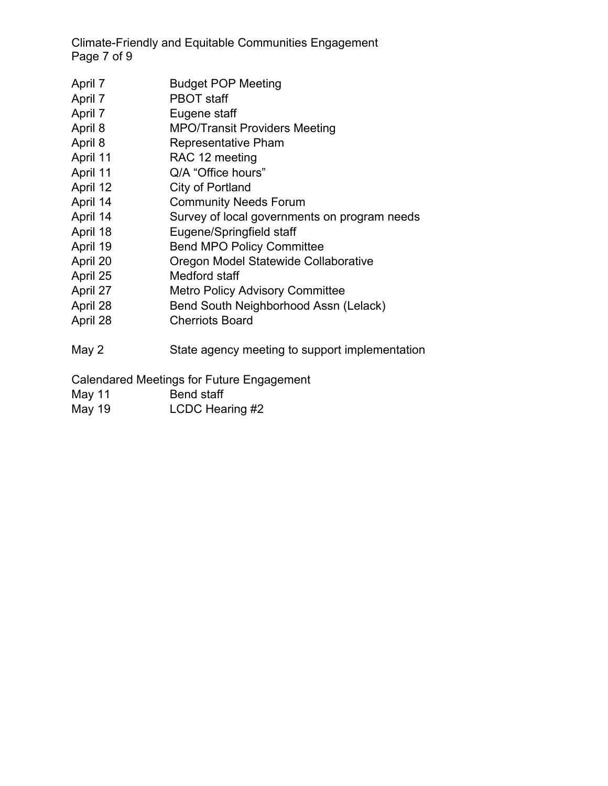Climate-Friendly and Equitable Communities Engagement Page 7 of 9

- April 7 Budget POP Meeting
- April 7 PBOT staff
- April 7 Eugene staff
- April 8 MPO/Transit Providers Meeting
- April 8 Representative Pham
- April 11 RAC 12 meeting
- April 11 Q/A "Office hours"
- April 12 City of Portland
- April 14 Community Needs Forum
- April 14 Survey of local governments on program needs
- April 18 Eugene/Springfield staff
- April 19 **Bend MPO Policy Committee**
- April 20 Oregon Model Statewide Collaborative
- April 25 Medford staff
- April 27 Metro Policy Advisory Committee
- April 28 Bend South Neighborhood Assn (Lelack)
- April 28 Cherriots Board
- May 2 State agency meeting to support implementation

Calendared Meetings for Future Engagement

- May 11 **Bend staff**
- May 19 **LCDC** Hearing #2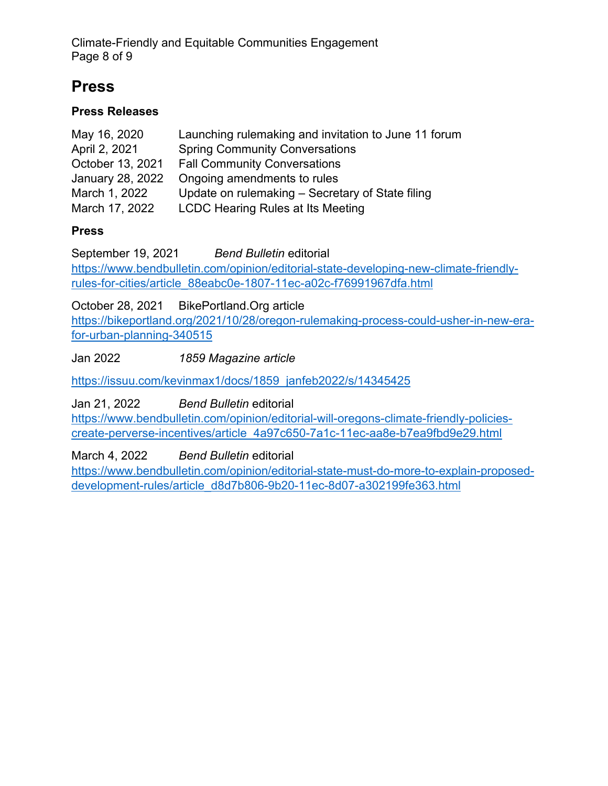Climate-Friendly and Equitable Communities Engagement Page 8 of 9

# **Press**

### **Press Releases**

| May 16, 2020     | Launching rulemaking and invitation to June 11 forum |
|------------------|------------------------------------------------------|
| April 2, 2021    | <b>Spring Community Conversations</b>                |
| October 13, 2021 | <b>Fall Community Conversations</b>                  |
| January 28, 2022 | Ongoing amendments to rules                          |
| March 1, 2022    | Update on rulemaking – Secretary of State filing     |
| March 17, 2022   | <b>LCDC Hearing Rules at Its Meeting</b>             |

### **Press**

September 19, 2021 *Bend Bulletin* editorial [https://www.bendbulletin.com/opinion/editorial-state-developing-new-climate-friendly](https://www.bendbulletin.com/opinion/editorial-state-developing-new-climate-friendly-rules-for-cities/article_88eabc0e-1807-11ec-a02c-f76991967dfa.html)[rules-for-cities/article\\_88eabc0e-1807-11ec-a02c-f76991967dfa.html](https://www.bendbulletin.com/opinion/editorial-state-developing-new-climate-friendly-rules-for-cities/article_88eabc0e-1807-11ec-a02c-f76991967dfa.html)

October 28, 2021 BikePortland.Org article

[https://bikeportland.org/2021/10/28/oregon-rulemaking-process-could-usher-in-new-era](https://bikeportland.org/2021/10/28/oregon-rulemaking-process-could-usher-in-new-era-for-urban-planning-340515)[for-urban-planning-340515](https://bikeportland.org/2021/10/28/oregon-rulemaking-process-could-usher-in-new-era-for-urban-planning-340515)

Jan 2022 *1859 Magazine article*

[https://issuu.com/kevinmax1/docs/1859\\_janfeb2022/s/14345425](https://issuu.com/kevinmax1/docs/1859_janfeb2022/s/14345425)

Jan 21, 2022 *Bend Bulletin* editorial

[https://www.bendbulletin.com/opinion/editorial-will-oregons-climate-friendly-policies](https://www.bendbulletin.com/opinion/editorial-will-oregons-climate-friendly-policies-create-perverse-incentives/article_4a97c650-7a1c-11ec-aa8e-b7ea9fbd9e29.html)[create-perverse-incentives/article\\_4a97c650-7a1c-11ec-aa8e-b7ea9fbd9e29.html](https://www.bendbulletin.com/opinion/editorial-will-oregons-climate-friendly-policies-create-perverse-incentives/article_4a97c650-7a1c-11ec-aa8e-b7ea9fbd9e29.html)

March 4, 2022 *Bend Bulletin* editorial

[https://www.bendbulletin.com/opinion/editorial-state-must-do-more-to-explain-proposed](https://www.bendbulletin.com/opinion/editorial-state-must-do-more-to-explain-proposed-development-rules/article_d8d7b806-9b20-11ec-8d07-a302199fe363.html)[development-rules/article\\_d8d7b806-9b20-11ec-8d07-a302199fe363.html](https://www.bendbulletin.com/opinion/editorial-state-must-do-more-to-explain-proposed-development-rules/article_d8d7b806-9b20-11ec-8d07-a302199fe363.html)